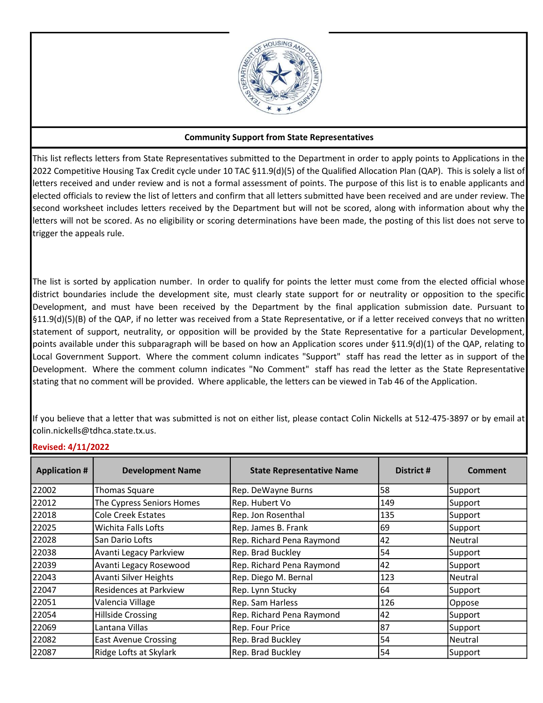

## Community Support from State Representatives

This list reflects letters from State Representatives submitted to the Department in order to apply points to Applications in the 2022 Competitive Housing Tax Credit cycle under 10 TAC §11.9(d)(5) of the Qualified Allocation Plan (QAP). This is solely a list of letters received and under review and is not a formal assessment of points. The purpose of this list is to enable applicants and elected officials to review the list of letters and confirm that all letters submitted have been received and are under review. The second worksheet includes letters received by the Department but will not be scored, along with information about why the letters will not be scored. As no eligibility or scoring determinations have been made, the posting of this list does not serve to trigger the appeals rule.

The list is sorted by application number. In order to qualify for points the letter must come from the elected official whose district boundaries include the development site, must clearly state support for or neutrality or opposition to the specific Development, and must have been received by the Department by the final application submission date. Pursuant to §11.9(d)(5)(B) of the QAP, if no letter was received from a State Representative, or if a letter received conveys that no written statement of support, neutrality, or opposition will be provided by the State Representative for a particular Development, points available under this subparagraph will be based on how an Application scores under §11.9(d)(1) of the QAP, relating to Local Government Support. Where the comment column indicates "Support" staff has read the letter as in support of the Development. Where the comment column indicates "No Comment" staff has read the letter as the State Representative stating that no comment will be provided. Where applicable, the letters can be viewed in Tab 46 of the Application.

If you believe that a letter that was submitted is not on either list, please contact Colin Nickells at 512-475-3897 or by email at colin.nickells@tdhca.state.tx.us.

## Revised: 4/11/2022

| <b>Application #</b> | <b>Development Name</b>     | <b>State Representative Name</b> | District # | <b>Comment</b> |
|----------------------|-----------------------------|----------------------------------|------------|----------------|
| 22002                | <b>Thomas Square</b>        | Rep. DeWayne Burns               | 58         | Support        |
| 22012                | The Cypress Seniors Homes   | Rep. Hubert Vo                   | 149        | Support        |
| 22018                | Cole Creek Estates          | Rep. Jon Rosenthal               | 135        | Support        |
| 22025                | <b>Wichita Falls Lofts</b>  | Rep. James B. Frank              | 69         | Support        |
| 22028                | San Dario Lofts             | Rep. Richard Pena Raymond        | 42         | <b>Neutral</b> |
| 22038                | Avanti Legacy Parkview      | Rep. Brad Buckley                | 54         | Support        |
| 22039                | Avanti Legacy Rosewood      | Rep. Richard Pena Raymond        | 42         | Support        |
| 22043                | Avanti Silver Heights       | Rep. Diego M. Bernal             | 123        | Neutral        |
| 22047                | Residences at Parkview      | Rep. Lynn Stucky                 | 64         | Support        |
| 22051                | Valencia Village            | Rep. Sam Harless                 | 126        | Oppose         |
| 22054                | Hillside Crossing           | Rep. Richard Pena Raymond        | 42         | Support        |
| 22069                | Lantana Villas              | Rep. Four Price                  | 87         | Support        |
| 22082                | <b>East Avenue Crossing</b> | Rep. Brad Buckley                | 54         | Neutral        |
| 22087                | Ridge Lofts at Skylark      | Rep. Brad Buckley                | 54         | Support        |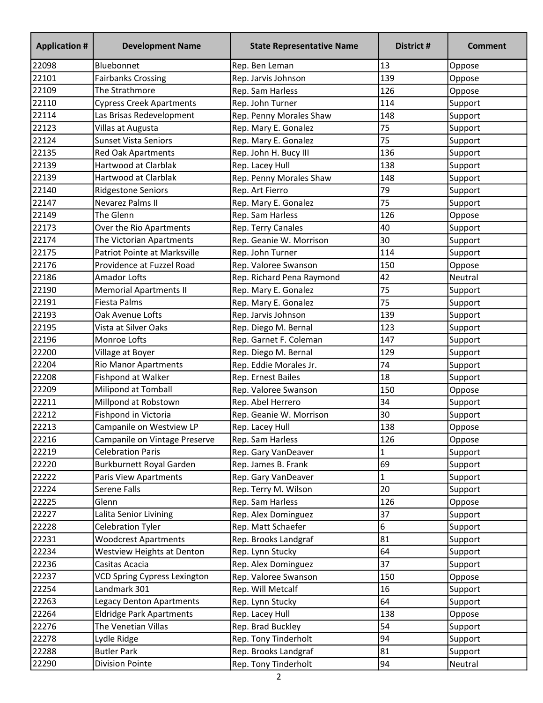| <b>Application #</b> | <b>Development Name</b>         | <b>State Representative Name</b> | District #   | <b>Comment</b> |
|----------------------|---------------------------------|----------------------------------|--------------|----------------|
| 22098                | Bluebonnet                      | Rep. Ben Leman                   | 13           | Oppose         |
| 22101                | <b>Fairbanks Crossing</b>       | Rep. Jarvis Johnson              | 139          | Oppose         |
| 22109                | The Strathmore                  | Rep. Sam Harless                 | 126          | Oppose         |
| 22110                | <b>Cypress Creek Apartments</b> | Rep. John Turner                 | 114          | Support        |
| 22114                | Las Brisas Redevelopment        | Rep. Penny Morales Shaw          | 148          | Support        |
| 22123                | Villas at Augusta               | Rep. Mary E. Gonalez             | 75           | Support        |
| 22124                | <b>Sunset Vista Seniors</b>     | Rep. Mary E. Gonalez             | 75           | Support        |
| 22135                | <b>Red Oak Apartments</b>       | Rep. John H. Bucy III            | 136          | Support        |
| 22139                | Hartwood at Clarblak            | Rep. Lacey Hull                  | 138          | Support        |
| 22139                | Hartwood at Clarblak            | Rep. Penny Morales Shaw          | 148          | Support        |
| 22140                | <b>Ridgestone Seniors</b>       | Rep. Art Fierro                  | 79           | Support        |
| 22147                | Nevarez Palms II                | Rep. Mary E. Gonalez             | 75           | Support        |
| 22149                | The Glenn                       | Rep. Sam Harless                 | 126          | Oppose         |
| 22173                | Over the Rio Apartments         | Rep. Terry Canales               | 40           | Support        |
| 22174                | The Victorian Apartments        | Rep. Geanie W. Morrison          | 30           | Support        |
| 22175                | Patriot Pointe at Marksville    | Rep. John Turner                 | 114          | Support        |
| 22176                | Providence at Fuzzel Road       | Rep. Valoree Swanson             | 150          | Oppose         |
| 22186                | <b>Amador Lofts</b>             | Rep. Richard Pena Raymond        | 42           | Neutral        |
| 22190                | <b>Memorial Apartments II</b>   | Rep. Mary E. Gonalez             | 75           | Support        |
| 22191                | <b>Fiesta Palms</b>             | Rep. Mary E. Gonalez             | 75           | Support        |
| 22193                | Oak Avenue Lofts                | Rep. Jarvis Johnson              | 139          | Support        |
| 22195                | Vista at Silver Oaks            | Rep. Diego M. Bernal             | 123          | Support        |
| 22196                | Monroe Lofts                    | Rep. Garnet F. Coleman           | 147          | Support        |
| 22200                | Village at Boyer                | Rep. Diego M. Bernal             | 129          | Support        |
| 22204                | <b>Rio Manor Apartments</b>     | Rep. Eddie Morales Jr.           | 74           | Support        |
| 22208                | Fishpond at Walker              | Rep. Ernest Bailes               | 18           | Support        |
| 22209                | Milipond at Tomball             | Rep. Valoree Swanson             | 150          | Oppose         |
| 22211                | Millpond at Robstown            | Rep. Abel Herrero                | 34           | Support        |
| 22212                | Fishpond in Victoria            | Rep. Geanie W. Morrison          | 30           | Support        |
| 22213                | Campanile on Westview LP        | Rep. Lacey Hull                  | 138          | Oppose         |
| 22216                | Campanile on Vintage Preserve   | Rep. Sam Harless                 | 126          | Oppose         |
| 22219                | <b>Celebration Paris</b>        | Rep. Gary VanDeaver              | $\mathbf{1}$ | Support        |
| 22220                | Burkburnett Royal Garden        | Rep. James B. Frank              | 69           | Support        |
| 22222                | Paris View Apartments           | Rep. Gary VanDeaver              | $\mathbf{1}$ | Support        |
| 22224                | Serene Falls                    | Rep. Terry M. Wilson             | 20           | Support        |
| 22225                | Glenn                           | Rep. Sam Harless                 | 126          | Oppose         |
| 22227                | Lalita Senior Livining          | Rep. Alex Dominguez              | 37           | Support        |
| 22228                | <b>Celebration Tyler</b>        | Rep. Matt Schaefer               | 6            | Support        |
| 22231                | <b>Woodcrest Apartments</b>     | Rep. Brooks Landgraf             | 81           | Support        |
| 22234                | Westview Heights at Denton      | Rep. Lynn Stucky                 | 64           | Support        |
| 22236                | Casitas Acacia                  | Rep. Alex Dominguez              | 37           | Support        |
| 22237                | VCD Spring Cypress Lexington    | Rep. Valoree Swanson             | 150          | Oppose         |
| 22254                | Landmark 301                    | Rep. Will Metcalf                | 16           | Support        |
| 22263                | <b>Legacy Denton Apartments</b> | Rep. Lynn Stucky                 | 64           | Support        |
| 22264                | <b>Eldridge Park Apartments</b> | Rep. Lacey Hull                  | 138          | Oppose         |
| 22276                | The Venetian Villas             | Rep. Brad Buckley                | 54           | Support        |
| 22278                | Lydle Ridge                     | Rep. Tony Tinderholt             | 94           | Support        |
| 22288                | <b>Butler Park</b>              | Rep. Brooks Landgraf             | 81           | Support        |
| 22290                | Division Pointe                 | Rep. Tony Tinderholt             | 94           | Neutral        |